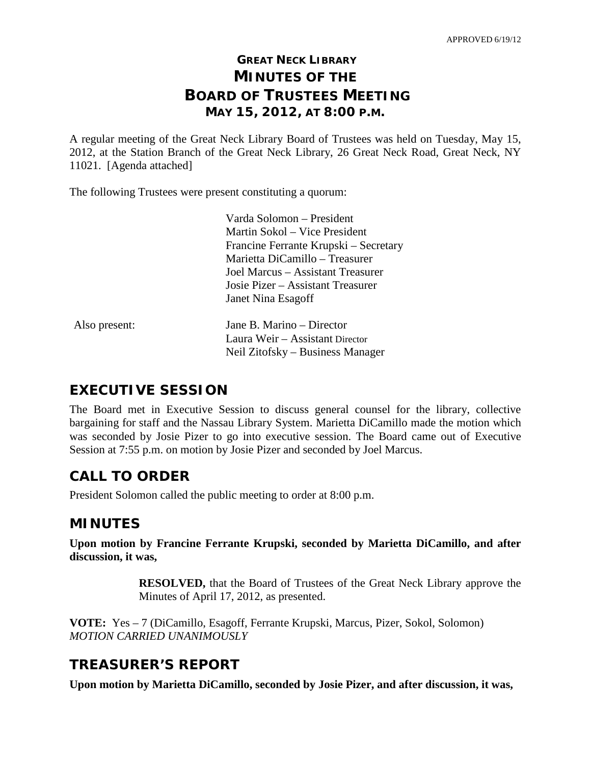## **GREAT NECK LIBRARY MINUTES OF THE BOARD OF TRUSTEES MEETING MAY 15, 2012, AT 8:00 P.M.**

A regular meeting of the Great Neck Library Board of Trustees was held on Tuesday, May 15, 2012, at the Station Branch of the Great Neck Library, 26 Great Neck Road, Great Neck, NY 11021. [Agenda attached]

The following Trustees were present constituting a quorum:

|               | Varda Solomon – President             |
|---------------|---------------------------------------|
|               | Martin Sokol – Vice President         |
|               | Francine Ferrante Krupski – Secretary |
|               | Marietta DiCamillo – Treasurer        |
|               | Joel Marcus – Assistant Treasurer     |
|               | Josie Pizer – Assistant Treasurer     |
|               | Janet Nina Esagoff                    |
| Also present: | Jane B. Marino – Director             |
|               | Laura Weir - Assistant Director       |
|               | Neil Zitofsky – Business Manager      |
|               |                                       |

### **EXECUTIVE SESSION**

The Board met in Executive Session to discuss general counsel for the library, collective bargaining for staff and the Nassau Library System. Marietta DiCamillo made the motion which was seconded by Josie Pizer to go into executive session. The Board came out of Executive Session at 7:55 p.m. on motion by Josie Pizer and seconded by Joel Marcus.

## **CALL TO ORDER**

President Solomon called the public meeting to order at 8:00 p.m.

### **MINUTES**

**Upon motion by Francine Ferrante Krupski, seconded by Marietta DiCamillo, and after discussion, it was,**

> **RESOLVED,** that the Board of Trustees of the Great Neck Library approve the Minutes of April 17, 2012, as presented.

**VOTE:** Yes – 7 (DiCamillo, Esagoff, Ferrante Krupski, Marcus, Pizer, Sokol, Solomon) *MOTION CARRIED UNANIMOUSLY*

### **TREASURER'S REPORT**

**Upon motion by Marietta DiCamillo, seconded by Josie Pizer, and after discussion, it was,**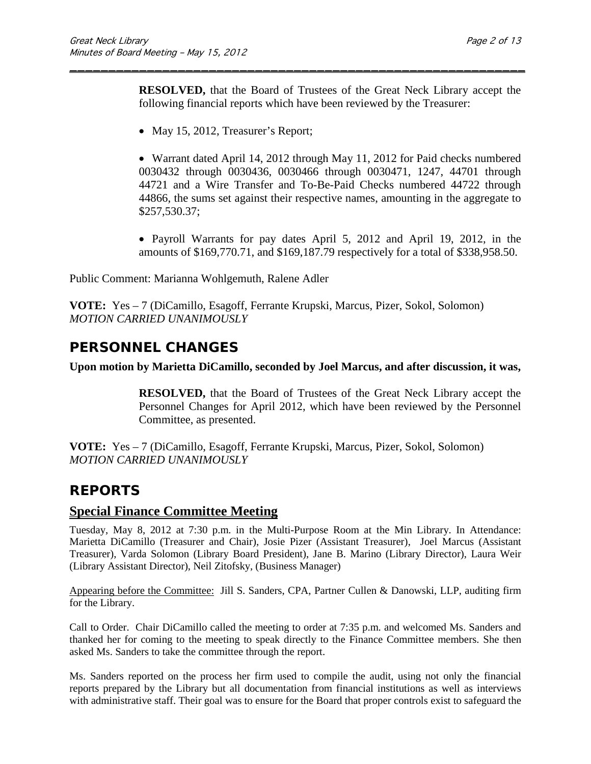**RESOLVED,** that the Board of Trustees of the Great Neck Library accept the following financial reports which have been reviewed by the Treasurer:

\_\_\_\_\_\_\_\_\_\_\_\_\_\_\_\_\_\_\_\_\_\_\_\_\_\_\_\_\_\_\_\_\_\_\_\_\_\_\_\_\_\_\_\_\_\_\_\_\_\_\_\_\_\_\_\_\_\_\_

• May 15, 2012, Treasurer's Report;

• Warrant dated April 14, 2012 through May 11, 2012 for Paid checks numbered 0030432 through 0030436, 0030466 through 0030471, 1247, 44701 through 44721 and a Wire Transfer and To-Be-Paid Checks numbered 44722 through 44866, the sums set against their respective names, amounting in the aggregate to \$257,530.37;

• Payroll Warrants for pay dates April 5, 2012 and April 19, 2012, in the amounts of \$169,770.71, and \$169,187.79 respectively for a total of \$338,958.50.

Public Comment: Marianna Wohlgemuth, Ralene Adler

**VOTE:** Yes – 7 (DiCamillo, Esagoff, Ferrante Krupski, Marcus, Pizer, Sokol, Solomon) *MOTION CARRIED UNANIMOUSLY*

### **PERSONNEL CHANGES**

#### **Upon motion by Marietta DiCamillo, seconded by Joel Marcus, and after discussion, it was,**

**RESOLVED,** that the Board of Trustees of the Great Neck Library accept the Personnel Changes for April 2012, which have been reviewed by the Personnel Committee, as presented.

**VOTE:** Yes – 7 (DiCamillo, Esagoff, Ferrante Krupski, Marcus, Pizer, Sokol, Solomon) *MOTION CARRIED UNANIMOUSLY*

### **REPORTS**

#### **Special Finance Committee Meeting**

Tuesday, May 8, 2012 at 7:30 p.m. in the Multi-Purpose Room at the Min Library. In Attendance: Marietta DiCamillo (Treasurer and Chair), Josie Pizer (Assistant Treasurer), Joel Marcus (Assistant Treasurer), Varda Solomon (Library Board President), Jane B. Marino (Library Director), Laura Weir (Library Assistant Director), Neil Zitofsky, (Business Manager)

Appearing before the Committee:Jill S. Sanders, CPA, Partner Cullen & Danowski, LLP, auditing firm for the Library.

Call to Order.Chair DiCamillo called the meeting to order at 7:35 p.m. and welcomed Ms. Sanders and thanked her for coming to the meeting to speak directly to the Finance Committee members. She then asked Ms. Sanders to take the committee through the report.

Ms. Sanders reported on the process her firm used to compile the audit, using not only the financial reports prepared by the Library but all documentation from financial institutions as well as interviews with administrative staff. Their goal was to ensure for the Board that proper controls exist to safeguard the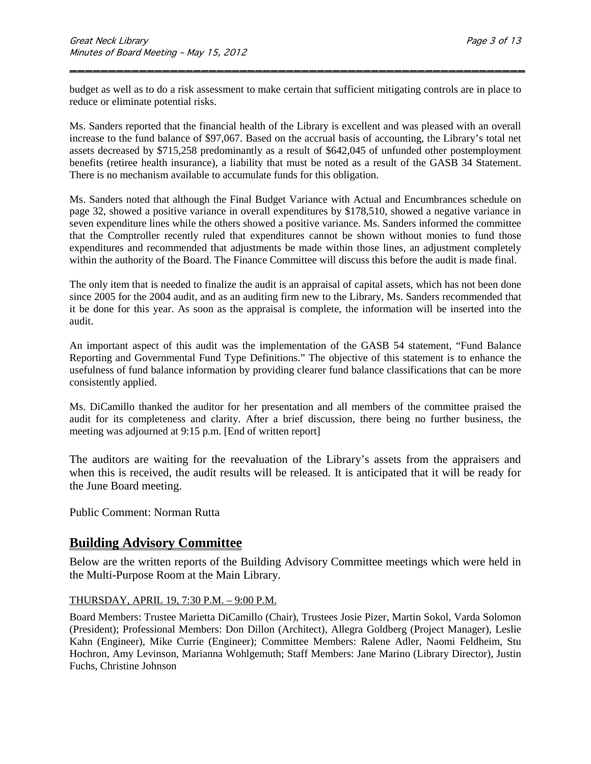budget as well as to do a risk assessment to make certain that sufficient mitigating controls are in place to reduce or eliminate potential risks.

\_\_\_\_\_\_\_\_\_\_\_\_\_\_\_\_\_\_\_\_\_\_\_\_\_\_\_\_\_\_\_\_\_\_\_\_\_\_\_\_\_\_\_\_\_\_\_\_\_\_\_\_\_\_\_\_\_\_\_

Ms. Sanders reported that the financial health of the Library is excellent and was pleased with an overall increase to the fund balance of \$97,067. Based on the accrual basis of accounting, the Library's total net assets decreased by \$715,258 predominantly as a result of \$642,045 of unfunded other postemployment benefits (retiree health insurance), a liability that must be noted as a result of the GASB 34 Statement. There is no mechanism available to accumulate funds for this obligation.

Ms. Sanders noted that although the Final Budget Variance with Actual and Encumbrances schedule on page 32, showed a positive variance in overall expenditures by \$178,510, showed a negative variance in seven expenditure lines while the others showed a positive variance. Ms. Sanders informed the committee that the Comptroller recently ruled that expenditures cannot be shown without monies to fund those expenditures and recommended that adjustments be made within those lines, an adjustment completely within the authority of the Board. The Finance Committee will discuss this before the audit is made final.

The only item that is needed to finalize the audit is an appraisal of capital assets, which has not been done since 2005 for the 2004 audit, and as an auditing firm new to the Library, Ms. Sanders recommended that it be done for this year. As soon as the appraisal is complete, the information will be inserted into the audit.

An important aspect of this audit was the implementation of the GASB 54 statement, "Fund Balance Reporting and Governmental Fund Type Definitions." The objective of this statement is to enhance the usefulness of fund balance information by providing clearer fund balance classifications that can be more consistently applied.

Ms. DiCamillo thanked the auditor for her presentation and all members of the committee praised the audit for its completeness and clarity. After a brief discussion, there being no further business, the meeting was adjourned at 9:15 p.m. [End of written report]

The auditors are waiting for the reevaluation of the Library's assets from the appraisers and when this is received, the audit results will be released. It is anticipated that it will be ready for the June Board meeting.

Public Comment: Norman Rutta

### **Building Advisory Committee**

Below are the written reports of the Building Advisory Committee meetings which were held in the Multi-Purpose Room at the Main Library.

#### THURSDAY, APRIL 19, 7:30 P.M. – 9:00 P.M.

Board Members: Trustee Marietta DiCamillo (Chair), Trustees Josie Pizer, Martin Sokol, Varda Solomon (President); Professional Members: Don Dillon (Architect), Allegra Goldberg (Project Manager), Leslie Kahn (Engineer), Mike Currie (Engineer); Committee Members: Ralene Adler, Naomi Feldheim, Stu Hochron, Amy Levinson, Marianna Wohlgemuth; Staff Members: Jane Marino (Library Director), Justin Fuchs, Christine Johnson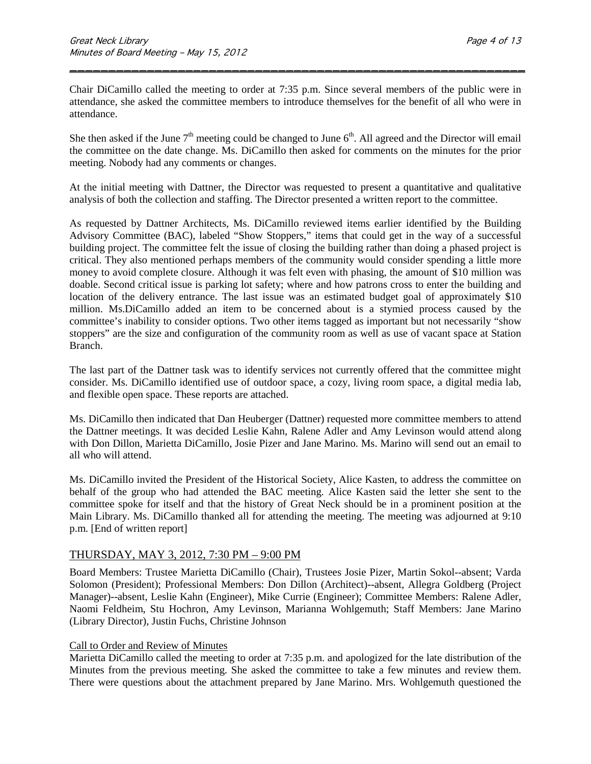Chair DiCamillo called the meeting to order at 7:35 p.m. Since several members of the public were in attendance, she asked the committee members to introduce themselves for the benefit of all who were in attendance.

\_\_\_\_\_\_\_\_\_\_\_\_\_\_\_\_\_\_\_\_\_\_\_\_\_\_\_\_\_\_\_\_\_\_\_\_\_\_\_\_\_\_\_\_\_\_\_\_\_\_\_\_\_\_\_\_\_\_\_

She then asked if the June  $7<sup>th</sup>$  meeting could be changed to June  $6<sup>th</sup>$ . All agreed and the Director will email the committee on the date change. Ms. DiCamillo then asked for comments on the minutes for the prior meeting. Nobody had any comments or changes.

At the initial meeting with Dattner, the Director was requested to present a quantitative and qualitative analysis of both the collection and staffing. The Director presented a written report to the committee.

As requested by Dattner Architects, Ms. DiCamillo reviewed items earlier identified by the Building Advisory Committee (BAC), labeled "Show Stoppers," items that could get in the way of a successful building project. The committee felt the issue of closing the building rather than doing a phased project is critical. They also mentioned perhaps members of the community would consider spending a little more money to avoid complete closure. Although it was felt even with phasing, the amount of \$10 million was doable. Second critical issue is parking lot safety; where and how patrons cross to enter the building and location of the delivery entrance. The last issue was an estimated budget goal of approximately \$10 million. Ms.DiCamillo added an item to be concerned about is a stymied process caused by the committee's inability to consider options. Two other items tagged as important but not necessarily "show stoppers" are the size and configuration of the community room as well as use of vacant space at Station Branch.

The last part of the Dattner task was to identify services not currently offered that the committee might consider. Ms. DiCamillo identified use of outdoor space, a cozy, living room space, a digital media lab, and flexible open space. These reports are attached.

Ms. DiCamillo then indicated that Dan Heuberger (Dattner) requested more committee members to attend the Dattner meetings. It was decided Leslie Kahn, Ralene Adler and Amy Levinson would attend along with Don Dillon, Marietta DiCamillo, Josie Pizer and Jane Marino. Ms. Marino will send out an email to all who will attend.

Ms. DiCamillo invited the President of the Historical Society, Alice Kasten, to address the committee on behalf of the group who had attended the BAC meeting. Alice Kasten said the letter she sent to the committee spoke for itself and that the history of Great Neck should be in a prominent position at the Main Library. Ms. DiCamillo thanked all for attending the meeting. The meeting was adjourned at 9:10 p.m. [End of written report]

#### THURSDAY, MAY 3, 2012, 7:30 PM – 9:00 PM

Board Members: Trustee Marietta DiCamillo (Chair), Trustees Josie Pizer, Martin Sokol--absent; Varda Solomon (President); Professional Members: Don Dillon (Architect)--absent, Allegra Goldberg (Project Manager)--absent, Leslie Kahn (Engineer), Mike Currie (Engineer); Committee Members: Ralene Adler, Naomi Feldheim, Stu Hochron, Amy Levinson, Marianna Wohlgemuth; Staff Members: Jane Marino (Library Director), Justin Fuchs, Christine Johnson

#### Call to Order and Review of Minutes

Marietta DiCamillo called the meeting to order at 7:35 p.m. and apologized for the late distribution of the Minutes from the previous meeting. She asked the committee to take a few minutes and review them. There were questions about the attachment prepared by Jane Marino. Mrs. Wohlgemuth questioned the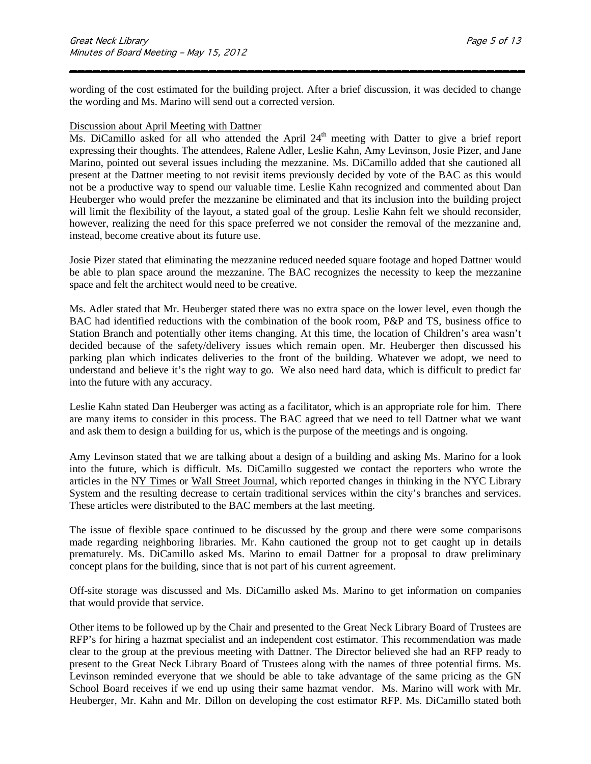wording of the cost estimated for the building project. After a brief discussion, it was decided to change the wording and Ms. Marino will send out a corrected version.

\_\_\_\_\_\_\_\_\_\_\_\_\_\_\_\_\_\_\_\_\_\_\_\_\_\_\_\_\_\_\_\_\_\_\_\_\_\_\_\_\_\_\_\_\_\_\_\_\_\_\_\_\_\_\_\_\_\_\_

#### Discussion about April Meeting with Dattner

Ms. DiCamillo asked for all who attended the April 24<sup>th</sup> meeting with Datter to give a brief report expressing their thoughts. The attendees, Ralene Adler, Leslie Kahn, Amy Levinson, Josie Pizer, and Jane Marino, pointed out several issues including the mezzanine. Ms. DiCamillo added that she cautioned all present at the Dattner meeting to not revisit items previously decided by vote of the BAC as this would not be a productive way to spend our valuable time. Leslie Kahn recognized and commented about Dan Heuberger who would prefer the mezzanine be eliminated and that its inclusion into the building project will limit the flexibility of the layout, a stated goal of the group. Leslie Kahn felt we should reconsider, however, realizing the need for this space preferred we not consider the removal of the mezzanine and, instead, become creative about its future use.

Josie Pizer stated that eliminating the mezzanine reduced needed square footage and hoped Dattner would be able to plan space around the mezzanine. The BAC recognizes the necessity to keep the mezzanine space and felt the architect would need to be creative.

Ms. Adler stated that Mr. Heuberger stated there was no extra space on the lower level, even though the BAC had identified reductions with the combination of the book room, P&P and TS, business office to Station Branch and potentially other items changing. At this time, the location of Children's area wasn't decided because of the safety/delivery issues which remain open. Mr. Heuberger then discussed his parking plan which indicates deliveries to the front of the building. Whatever we adopt, we need to understand and believe it's the right way to go. We also need hard data, which is difficult to predict far into the future with any accuracy.

Leslie Kahn stated Dan Heuberger was acting as a facilitator, which is an appropriate role for him. There are many items to consider in this process. The BAC agreed that we need to tell Dattner what we want and ask them to design a building for us, which is the purpose of the meetings and is ongoing.

Amy Levinson stated that we are talking about a design of a building and asking Ms. Marino for a look into the future, which is difficult. Ms. DiCamillo suggested we contact the reporters who wrote the articles in the NY Times or Wall Street Journal, which reported changes in thinking in the NYC Library System and the resulting decrease to certain traditional services within the city's branches and services. These articles were distributed to the BAC members at the last meeting.

The issue of flexible space continued to be discussed by the group and there were some comparisons made regarding neighboring libraries. Mr. Kahn cautioned the group not to get caught up in details prematurely. Ms. DiCamillo asked Ms. Marino to email Dattner for a proposal to draw preliminary concept plans for the building, since that is not part of his current agreement.

Off-site storage was discussed and Ms. DiCamillo asked Ms. Marino to get information on companies that would provide that service.

Other items to be followed up by the Chair and presented to the Great Neck Library Board of Trustees are RFP's for hiring a hazmat specialist and an independent cost estimator. This recommendation was made clear to the group at the previous meeting with Dattner. The Director believed she had an RFP ready to present to the Great Neck Library Board of Trustees along with the names of three potential firms. Ms. Levinson reminded everyone that we should be able to take advantage of the same pricing as the GN School Board receives if we end up using their same hazmat vendor. Ms. Marino will work with Mr. Heuberger, Mr. Kahn and Mr. Dillon on developing the cost estimator RFP. Ms. DiCamillo stated both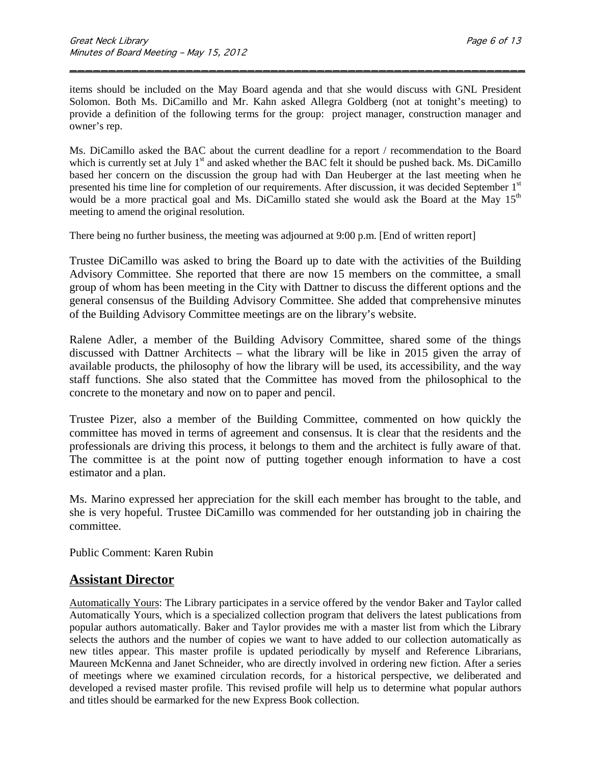items should be included on the May Board agenda and that she would discuss with GNL President Solomon. Both Ms. DiCamillo and Mr. Kahn asked Allegra Goldberg (not at tonight's meeting) to provide a definition of the following terms for the group: project manager, construction manager and owner's rep.

\_\_\_\_\_\_\_\_\_\_\_\_\_\_\_\_\_\_\_\_\_\_\_\_\_\_\_\_\_\_\_\_\_\_\_\_\_\_\_\_\_\_\_\_\_\_\_\_\_\_\_\_\_\_\_\_\_\_\_

Ms. DiCamillo asked the BAC about the current deadline for a report / recommendation to the Board which is currently set at July 1<sup>st</sup> and asked whether the BAC felt it should be pushed back. Ms. DiCamillo based her concern on the discussion the group had with Dan Heuberger at the last meeting when he presented his time line for completion of our requirements. After discussion, it was decided September 1<sup>st</sup> would be a more practical goal and Ms. DiCamillo stated she would ask the Board at the May  $15<sup>th</sup>$ meeting to amend the original resolution.

There being no further business, the meeting was adjourned at 9:00 p.m. [End of written report]

Trustee DiCamillo was asked to bring the Board up to date with the activities of the Building Advisory Committee. She reported that there are now 15 members on the committee, a small group of whom has been meeting in the City with Dattner to discuss the different options and the general consensus of the Building Advisory Committee. She added that comprehensive minutes of the Building Advisory Committee meetings are on the library's website.

Ralene Adler, a member of the Building Advisory Committee, shared some of the things discussed with Dattner Architects – what the library will be like in 2015 given the array of available products, the philosophy of how the library will be used, its accessibility, and the way staff functions. She also stated that the Committee has moved from the philosophical to the concrete to the monetary and now on to paper and pencil.

Trustee Pizer, also a member of the Building Committee, commented on how quickly the committee has moved in terms of agreement and consensus. It is clear that the residents and the professionals are driving this process, it belongs to them and the architect is fully aware of that. The committee is at the point now of putting together enough information to have a cost estimator and a plan.

Ms. Marino expressed her appreciation for the skill each member has brought to the table, and she is very hopeful. Trustee DiCamillo was commended for her outstanding job in chairing the committee.

Public Comment: Karen Rubin

### **Assistant Director**

Automatically Yours: The Library participates in a service offered by the vendor Baker and Taylor called Automatically Yours, which is a specialized collection program that delivers the latest publications from popular authors automatically. Baker and Taylor provides me with a master list from which the Library selects the authors and the number of copies we want to have added to our collection automatically as new titles appear. This master profile is updated periodically by myself and Reference Librarians, Maureen McKenna and Janet Schneider, who are directly involved in ordering new fiction. After a series of meetings where we examined circulation records, for a historical perspective, we deliberated and developed a revised master profile. This revised profile will help us to determine what popular authors and titles should be earmarked for the new Express Book collection.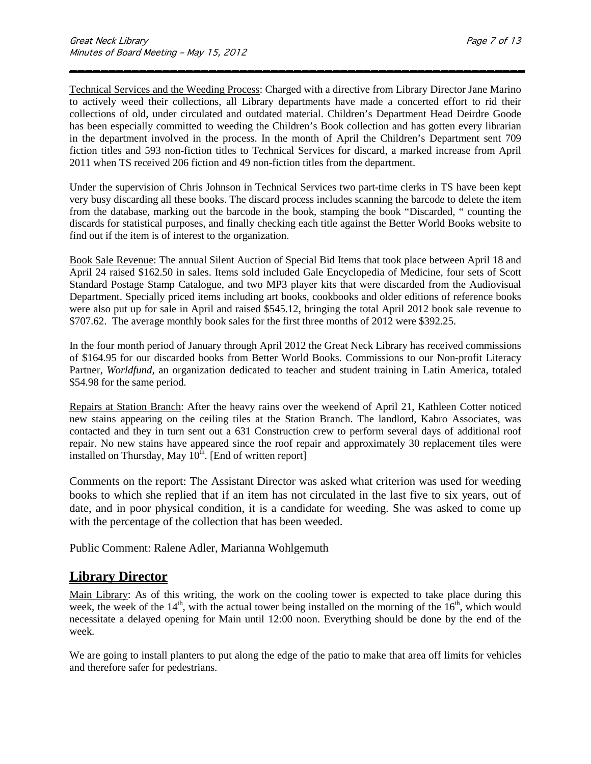Technical Services and the Weeding Process: Charged with a directive from Library Director Jane Marino to actively weed their collections, all Library departments have made a concerted effort to rid their collections of old, under circulated and outdated material. Children's Department Head Deirdre Goode has been especially committed to weeding the Children's Book collection and has gotten every librarian in the department involved in the process. In the month of April the Children's Department sent 709 fiction titles and 593 non-fiction titles to Technical Services for discard, a marked increase from April 2011 when TS received 206 fiction and 49 non-fiction titles from the department.

\_\_\_\_\_\_\_\_\_\_\_\_\_\_\_\_\_\_\_\_\_\_\_\_\_\_\_\_\_\_\_\_\_\_\_\_\_\_\_\_\_\_\_\_\_\_\_\_\_\_\_\_\_\_\_\_\_\_\_

Under the supervision of Chris Johnson in Technical Services two part-time clerks in TS have been kept very busy discarding all these books. The discard process includes scanning the barcode to delete the item from the database, marking out the barcode in the book, stamping the book "Discarded, " counting the discards for statistical purposes, and finally checking each title against the Better World Books website to find out if the item is of interest to the organization.

Book Sale Revenue: The annual Silent Auction of Special Bid Items that took place between April 18 and April 24 raised \$162.50 in sales. Items sold included Gale Encyclopedia of Medicine, four sets of Scott Standard Postage Stamp Catalogue, and two MP3 player kits that were discarded from the Audiovisual Department. Specially priced items including art books, cookbooks and older editions of reference books were also put up for sale in April and raised \$545.12, bringing the total April 2012 book sale revenue to \$707.62. The average monthly book sales for the first three months of 2012 were \$392.25.

In the four month period of January through April 2012 the Great Neck Library has received commissions of \$164.95 for our discarded books from Better World Books. Commissions to our Non-profit Literacy Partner, *Worldfund*, an organization dedicated to teacher and student training in Latin America, totaled \$54.98 for the same period.

Repairs at Station Branch: After the heavy rains over the weekend of April 21, Kathleen Cotter noticed new stains appearing on the ceiling tiles at the Station Branch. The landlord, Kabro Associates, was contacted and they in turn sent out a 631 Construction crew to perform several days of additional roof repair. No new stains have appeared since the roof repair and approximately 30 replacement tiles were installed on Thursday, May  $10^{th}$ . [End of written report]

Comments on the report: The Assistant Director was asked what criterion was used for weeding books to which she replied that if an item has not circulated in the last five to six years, out of date, and in poor physical condition, it is a candidate for weeding. She was asked to come up with the percentage of the collection that has been weeded.

Public Comment: Ralene Adler, Marianna Wohlgemuth

### **Library Director**

Main Library: As of this writing, the work on the cooling tower is expected to take place during this week, the week of the  $14<sup>th</sup>$ , with the actual tower being installed on the morning of the  $16<sup>th</sup>$ , which would necessitate a delayed opening for Main until 12:00 noon. Everything should be done by the end of the week.

We are going to install planters to put along the edge of the patio to make that area off limits for vehicles and therefore safer for pedestrians.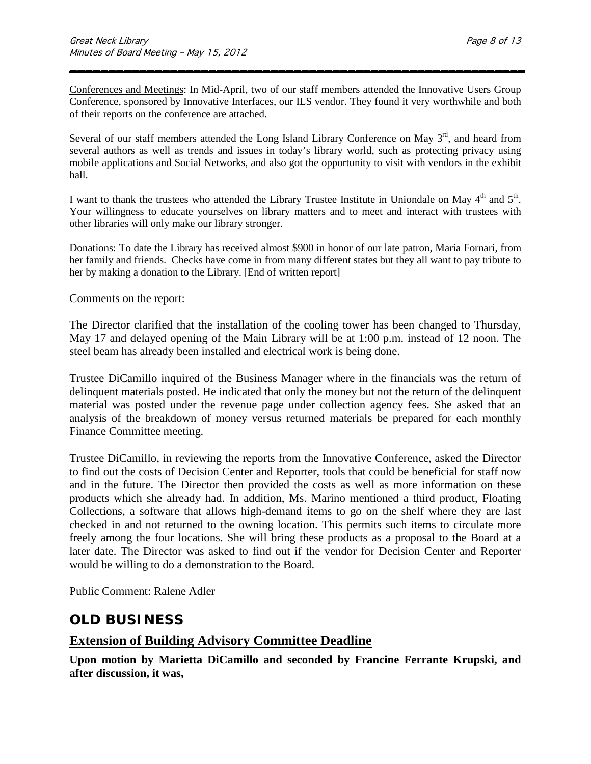Conferences and Meetings: In Mid-April, two of our staff members attended the Innovative Users Group Conference, sponsored by Innovative Interfaces, our ILS vendor. They found it very worthwhile and both of their reports on the conference are attached.

\_\_\_\_\_\_\_\_\_\_\_\_\_\_\_\_\_\_\_\_\_\_\_\_\_\_\_\_\_\_\_\_\_\_\_\_\_\_\_\_\_\_\_\_\_\_\_\_\_\_\_\_\_\_\_\_\_\_\_

Several of our staff members attended the Long Island Library Conference on May  $3<sup>rd</sup>$ , and heard from several authors as well as trends and issues in today's library world, such as protecting privacy using mobile applications and Social Networks, and also got the opportunity to visit with vendors in the exhibit hall.

I want to thank the trustees who attended the Library Trustee Institute in Uniondale on May 4<sup>th</sup> and 5<sup>th</sup>. Your willingness to educate yourselves on library matters and to meet and interact with trustees with other libraries will only make our library stronger.

Donations: To date the Library has received almost \$900 in honor of our late patron, Maria Fornari, from her family and friends. Checks have come in from many different states but they all want to pay tribute to her by making a donation to the Library. [End of written report]

Comments on the report:

The Director clarified that the installation of the cooling tower has been changed to Thursday, May 17 and delayed opening of the Main Library will be at 1:00 p.m. instead of 12 noon. The steel beam has already been installed and electrical work is being done.

Trustee DiCamillo inquired of the Business Manager where in the financials was the return of delinquent materials posted. He indicated that only the money but not the return of the delinquent material was posted under the revenue page under collection agency fees. She asked that an analysis of the breakdown of money versus returned materials be prepared for each monthly Finance Committee meeting.

Trustee DiCamillo, in reviewing the reports from the Innovative Conference, asked the Director to find out the costs of Decision Center and Reporter, tools that could be beneficial for staff now and in the future. The Director then provided the costs as well as more information on these products which she already had. In addition, Ms. Marino mentioned a third product, Floating Collections, a software that allows high-demand items to go on the shelf where they are last checked in and not returned to the owning location. This permits such items to circulate more freely among the four locations. She will bring these products as a proposal to the Board at a later date. The Director was asked to find out if the vendor for Decision Center and Reporter would be willing to do a demonstration to the Board.

Public Comment: Ralene Adler

### **OLD BUSINESS**

### **Extension of Building Advisory Committee Deadline**

**Upon motion by Marietta DiCamillo and seconded by Francine Ferrante Krupski, and after discussion, it was,**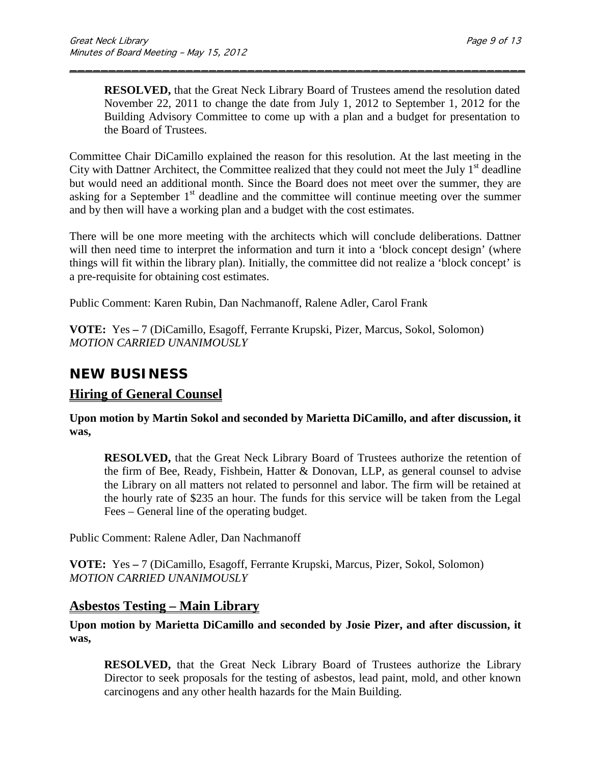**RESOLVED,** that the Great Neck Library Board of Trustees amend the resolution dated November 22, 2011 to change the date from July 1, 2012 to September 1, 2012 for the Building Advisory Committee to come up with a plan and a budget for presentation to the Board of Trustees.

Committee Chair DiCamillo explained the reason for this resolution. At the last meeting in the City with Dattner Architect, the Committee realized that they could not meet the July  $1<sup>st</sup>$  deadline but would need an additional month. Since the Board does not meet over the summer, they are asking for a September  $1<sup>st</sup>$  deadline and the committee will continue meeting over the summer and by then will have a working plan and a budget with the cost estimates.

\_\_\_\_\_\_\_\_\_\_\_\_\_\_\_\_\_\_\_\_\_\_\_\_\_\_\_\_\_\_\_\_\_\_\_\_\_\_\_\_\_\_\_\_\_\_\_\_\_\_\_\_\_\_\_\_\_\_\_

There will be one more meeting with the architects which will conclude deliberations. Dattner will then need time to interpret the information and turn it into a 'block concept design' (where things will fit within the library plan). Initially, the committee did not realize a 'block concept' is a pre-requisite for obtaining cost estimates.

Public Comment: Karen Rubin, Dan Nachmanoff, Ralene Adler, Carol Frank

**VOTE:** Yes **–** 7 (DiCamillo, Esagoff, Ferrante Krupski, Pizer, Marcus, Sokol, Solomon) *MOTION CARRIED UNANIMOUSLY*

### **NEW BUSINESS**

### **Hiring of General Counsel**

**Upon motion by Martin Sokol and seconded by Marietta DiCamillo, and after discussion, it was,**

**RESOLVED,** that the Great Neck Library Board of Trustees authorize the retention of the firm of Bee, Ready, Fishbein, Hatter & Donovan, LLP, as general counsel to advise the Library on all matters not related to personnel and labor. The firm will be retained at the hourly rate of \$235 an hour. The funds for this service will be taken from the Legal Fees – General line of the operating budget.

Public Comment: Ralene Adler, Dan Nachmanoff

**VOTE:** Yes **–** 7 (DiCamillo, Esagoff, Ferrante Krupski, Marcus, Pizer, Sokol, Solomon) *MOTION CARRIED UNANIMOUSLY*

### **Asbestos Testing – Main Library**

**Upon motion by Marietta DiCamillo and seconded by Josie Pizer, and after discussion, it was,**

**RESOLVED,** that the Great Neck Library Board of Trustees authorize the Library Director to seek proposals for the testing of asbestos, lead paint, mold, and other known carcinogens and any other health hazards for the Main Building.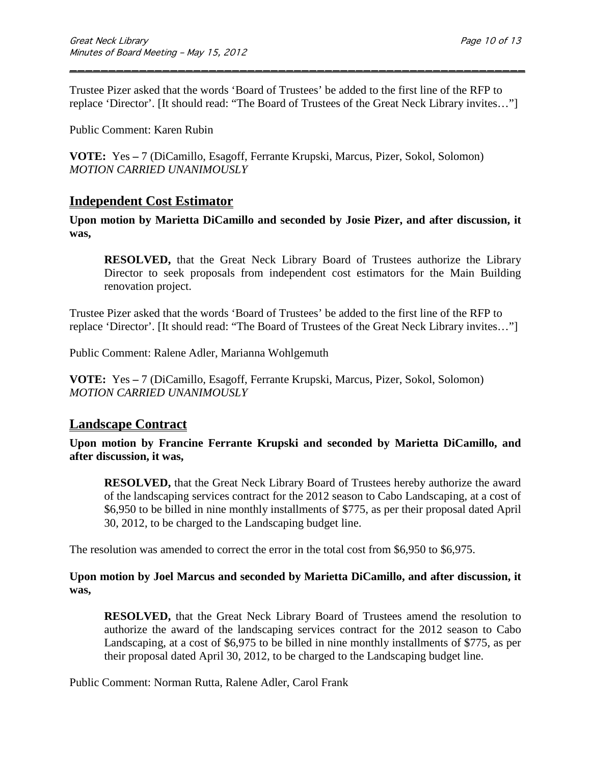Trustee Pizer asked that the words 'Board of Trustees' be added to the first line of the RFP to replace 'Director'. [It should read: "The Board of Trustees of the Great Neck Library invites…"]

\_\_\_\_\_\_\_\_\_\_\_\_\_\_\_\_\_\_\_\_\_\_\_\_\_\_\_\_\_\_\_\_\_\_\_\_\_\_\_\_\_\_\_\_\_\_\_\_\_\_\_\_\_\_\_\_\_\_\_

Public Comment: Karen Rubin

**VOTE:** Yes **–** 7 (DiCamillo, Esagoff, Ferrante Krupski, Marcus, Pizer, Sokol, Solomon) *MOTION CARRIED UNANIMOUSLY*

#### **Independent Cost Estimator**

**Upon motion by Marietta DiCamillo and seconded by Josie Pizer, and after discussion, it was,**

**RESOLVED,** that the Great Neck Library Board of Trustees authorize the Library Director to seek proposals from independent cost estimators for the Main Building renovation project.

Trustee Pizer asked that the words 'Board of Trustees' be added to the first line of the RFP to replace 'Director'. [It should read: "The Board of Trustees of the Great Neck Library invites…"]

Public Comment: Ralene Adler, Marianna Wohlgemuth

**VOTE:** Yes **–** 7 (DiCamillo, Esagoff, Ferrante Krupski, Marcus, Pizer, Sokol, Solomon) *MOTION CARRIED UNANIMOUSLY*

#### **Landscape Contract**

**Upon motion by Francine Ferrante Krupski and seconded by Marietta DiCamillo, and after discussion, it was,**

**RESOLVED,** that the Great Neck Library Board of Trustees hereby authorize the award of the landscaping services contract for the 2012 season to Cabo Landscaping, at a cost of \$6,950 to be billed in nine monthly installments of \$775, as per their proposal dated April 30, 2012, to be charged to the Landscaping budget line.

The resolution was amended to correct the error in the total cost from \$6,950 to \$6,975.

#### **Upon motion by Joel Marcus and seconded by Marietta DiCamillo, and after discussion, it was,**

**RESOLVED,** that the Great Neck Library Board of Trustees amend the resolution to authorize the award of the landscaping services contract for the 2012 season to Cabo Landscaping, at a cost of \$6,975 to be billed in nine monthly installments of \$775, as per their proposal dated April 30, 2012, to be charged to the Landscaping budget line.

Public Comment: Norman Rutta, Ralene Adler, Carol Frank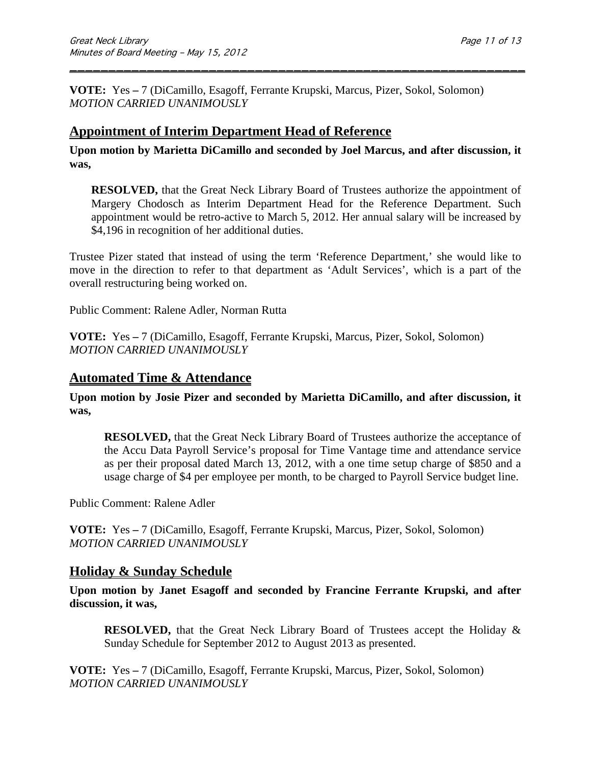**VOTE:** Yes **–** 7 (DiCamillo, Esagoff, Ferrante Krupski, Marcus, Pizer, Sokol, Solomon) *MOTION CARRIED UNANIMOUSLY*

### **Appointment of Interim Department Head of Reference**

**Upon motion by Marietta DiCamillo and seconded by Joel Marcus, and after discussion, it was,**

\_\_\_\_\_\_\_\_\_\_\_\_\_\_\_\_\_\_\_\_\_\_\_\_\_\_\_\_\_\_\_\_\_\_\_\_\_\_\_\_\_\_\_\_\_\_\_\_\_\_\_\_\_\_\_\_\_\_\_

**RESOLVED,** that the Great Neck Library Board of Trustees authorize the appointment of Margery Chodosch as Interim Department Head for the Reference Department. Such appointment would be retro-active to March 5, 2012. Her annual salary will be increased by \$4,196 in recognition of her additional duties.

Trustee Pizer stated that instead of using the term 'Reference Department,' she would like to move in the direction to refer to that department as 'Adult Services', which is a part of the overall restructuring being worked on.

Public Comment: Ralene Adler, Norman Rutta

**VOTE:** Yes **–** 7 (DiCamillo, Esagoff, Ferrante Krupski, Marcus, Pizer, Sokol, Solomon) *MOTION CARRIED UNANIMOUSLY*

#### **Automated Time & Attendance**

**Upon motion by Josie Pizer and seconded by Marietta DiCamillo, and after discussion, it was,**

**RESOLVED,** that the Great Neck Library Board of Trustees authorize the acceptance of the Accu Data Payroll Service's proposal for Time Vantage time and attendance service as per their proposal dated March 13, 2012, with a one time setup charge of \$850 and a usage charge of \$4 per employee per month, to be charged to Payroll Service budget line.

Public Comment: Ralene Adler

**VOTE:** Yes **–** 7 (DiCamillo, Esagoff, Ferrante Krupski, Marcus, Pizer, Sokol, Solomon) *MOTION CARRIED UNANIMOUSLY*

#### **Holiday & Sunday Schedule**

**Upon motion by Janet Esagoff and seconded by Francine Ferrante Krupski, and after discussion, it was,**

**RESOLVED,** that the Great Neck Library Board of Trustees accept the Holiday & Sunday Schedule for September 2012 to August 2013 as presented.

**VOTE:** Yes **–** 7 (DiCamillo, Esagoff, Ferrante Krupski, Marcus, Pizer, Sokol, Solomon) *MOTION CARRIED UNANIMOUSLY*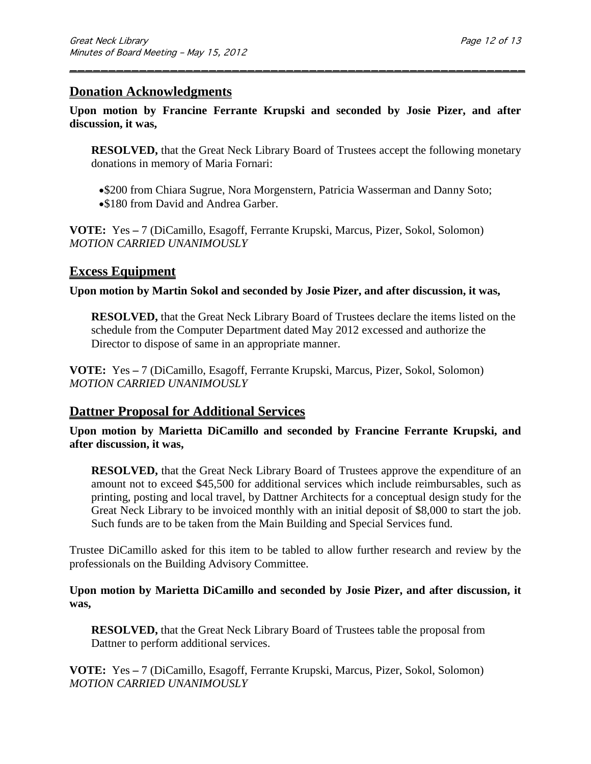#### **Donation Acknowledgments**

**Upon motion by Francine Ferrante Krupski and seconded by Josie Pizer, and after discussion, it was,**

\_\_\_\_\_\_\_\_\_\_\_\_\_\_\_\_\_\_\_\_\_\_\_\_\_\_\_\_\_\_\_\_\_\_\_\_\_\_\_\_\_\_\_\_\_\_\_\_\_\_\_\_\_\_\_\_\_\_\_

**RESOLVED,** that the Great Neck Library Board of Trustees accept the following monetary donations in memory of Maria Fornari:

•\$200 from Chiara Sugrue, Nora Morgenstern, Patricia Wasserman and Danny Soto;

• \$180 from David and Andrea Garber.

**VOTE:** Yes **–** 7 (DiCamillo, Esagoff, Ferrante Krupski, Marcus, Pizer, Sokol, Solomon) *MOTION CARRIED UNANIMOUSLY*

### **Excess Equipment**

**Upon motion by Martin Sokol and seconded by Josie Pizer, and after discussion, it was,**

**RESOLVED,** that the Great Neck Library Board of Trustees declare the items listed on the schedule from the Computer Department dated May 2012 excessed and authorize the Director to dispose of same in an appropriate manner.

**VOTE:** Yes **–** 7 (DiCamillo, Esagoff, Ferrante Krupski, Marcus, Pizer, Sokol, Solomon) *MOTION CARRIED UNANIMOUSLY*

### **Dattner Proposal for Additional Services**

**Upon motion by Marietta DiCamillo and seconded by Francine Ferrante Krupski, and after discussion, it was,**

**RESOLVED,** that the Great Neck Library Board of Trustees approve the expenditure of an amount not to exceed \$45,500 for additional services which include reimbursables, such as printing, posting and local travel, by Dattner Architects for a conceptual design study for the Great Neck Library to be invoiced monthly with an initial deposit of \$8,000 to start the job. Such funds are to be taken from the Main Building and Special Services fund.

Trustee DiCamillo asked for this item to be tabled to allow further research and review by the professionals on the Building Advisory Committee.

#### **Upon motion by Marietta DiCamillo and seconded by Josie Pizer, and after discussion, it was,**

**RESOLVED,** that the Great Neck Library Board of Trustees table the proposal from Dattner to perform additional services.

**VOTE:** Yes **–** 7 (DiCamillo, Esagoff, Ferrante Krupski, Marcus, Pizer, Sokol, Solomon) *MOTION CARRIED UNANIMOUSLY*